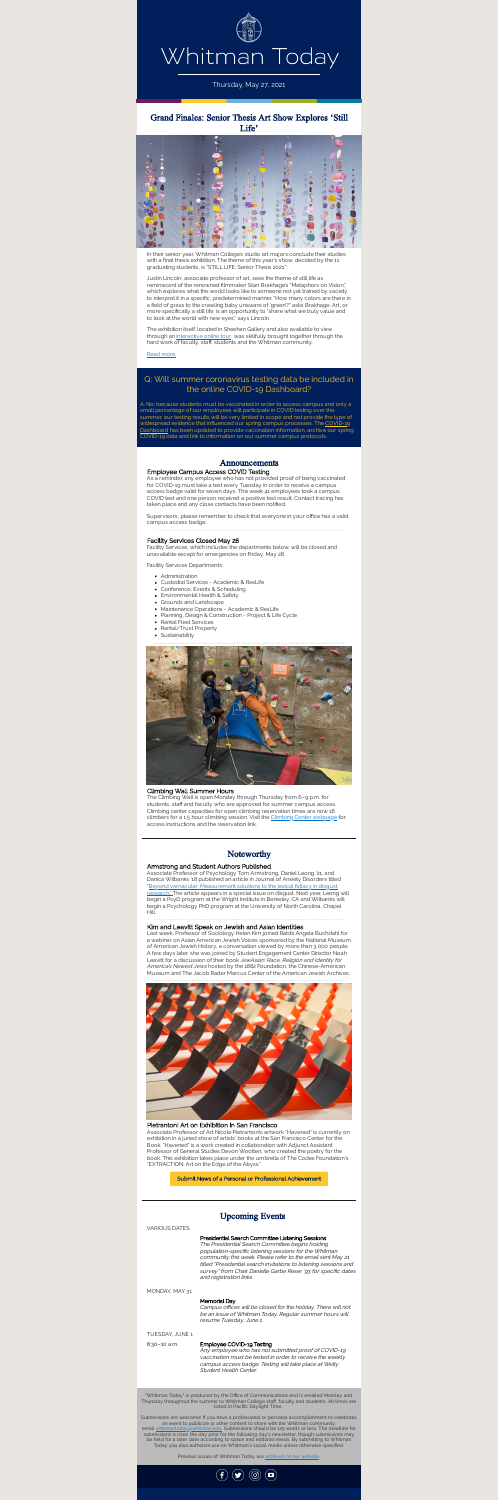

Thursday, May 27, 2021

# Grand Finales: Senior Thesis Art Show Explores 'Still Life'



In their senior year, Whitman College's studio art majors conclude their studies with a final thesis exhibition. The theme of this year's show, decided by the 11 graduating students, is "STILL LIFE: Senior Thesis 2021."

The exhibition itself, located in Sheehan Gallery and also available to view through an [interactive](https://www.sheehangallerythesisshow2021.com/) online tour, was skillfully brought together through the hard work of faculty, staff, students and the Whitman community.

Justin Lincoln, associate professor of art, sees the theme of still life as reminiscent of the renowned filmmaker Stan Brakhage's "Metaphors on Vision," which explores what the world looks like to someone not yet trained by society to interpret it in a specific, predetermined manner. "How many colors are there in a field of grass to the crawling baby unaware of 'green'?" asks Brakhage. Art, or more specifically a still life, is an opportunity to "share what we truly value and to look at the world with new eyes," says Lincoln.

As a reminder, any employee who has not provided proof of being vaccinated for COVID-19 must take a test every Tuesday in order to receive a campus access badge valid for seven days. This week 41 employees took a campus COVID test and one person received a positive test result. Contact tracing has taken place and any close contacts have been notified.

Read [more.](https://www.whitman.edu/newsroom/sheehan-senior-art-show)

Supervisors, please remember to check that everyone in your office has a valid campus access badge.

## Q: Will summer coronavirus testing data be included in the online COVID-19 Dashboard?

A: No; because students must be vaccinated in order to access campus and only a small percentage of our employees will participate in COVID testing over the

summer, our testing results will be very limited in scope and not provide the type of widespread evidence that influenced our spring campus processes. The COVID-19 Dashboard has been updated to provide vaccination [information,](https://www.whitman.edu/covid-dashboard) archive our spring COVID-19 data and link to information on our summer campus protocols.

## Announcements

### Employee Campus Access COVID Testing

#### Facility Services Closed May 28

Facility Services, which includes the departments below, will be closed and unavailable except for emergencies on Friday, May 28.

Facility Services Departments:

- Administration
- Custodial Services Academic & ResLife
- Conference, Events & Scheduling
- Environmental Health & Safety
- Grounds and Landscape
- Maintenance Operations Academic & ResLife
- Planning, Design & Construction Project & Life Cycle
- Rental Fleet Services
- Rental/Trust Property
- Sustainability



Campus offices will be closed for the holiday. There will not be an issue of Whitman Today. Regular summer hours will resume Tuesday, June 1.

#### Climbing Wall Summer Hours

The Climbing Wall is open Monday through Thursday from 6–9 p.m. for students, staff and faculty who are approved for summer campus access. Climbing center capacities for open climbing reservation times are now 18 climbers for a 1.5 hour climbing session. Visit the Climbing Center [webpage](https://www.whitman.edu/campus-life/outdoor-program/climbing-center) for access instructions and the reservation link.

Submissions are welcome! If you have a professional or personal accomplishment to celebrate, an event to publicize or other content to share with the Whitman community, email [whitmantoday@whitman.edu.](mailto:whitmantoday@whitman.edu) Submissions should be 125 words or less. The deadline for submissions is noon the day prior for the following day's newsletter, though submissions may be held for a later date according to space and editorial needs. By submitting to Whitman Today you also authorize use on Whitman's social media unless otherwise specified.

Previous issues of Whitman Today are **[archived](http://whitman.edu/newsroom/whitman-today/) on our website**.



## Noteworthy

### Armstrong and Student Authors Published

Associate Professor of Psychology Tom Armstrong, Daniel Leong '21, and Danica Wilbanks '18 published an article in Journal of Anxiety Disorders titled "Beyond vernacular: [Measurement](https://authors.elsevier.com/a/1d5l039qZAe~fg) solutions to the lexical fallacy in disgust research." The article appears in a special issue on disgust. Next year, Leong will begin a PsyD program at the Wright Institute in Berkeley, CA and Wilbanks will begin a Psychology PhD program at the University of North Carolina, Chapel Hill.

### Kim and Leavitt Speak on Jewish and Asian Identities

Last week, Professor of Sociology Helen Kim joined Rabbi Angela Buchdahl for a webinar on Asian American Jewish Voices sponsored by the National Museum of American Jewish History, a conversation viewed by more than 3,000 people. A few days later, she was joined by Student Engagement Center Director Noah Leavitt for a discussion of their book JewAsian: Race, Religion and Identity for America's Newest Jews hosted by the 1882 Foundation, the Chinese-American Museum and The Jacob Rader Marcus Center of the American Jewish Archives.



#### Pietrantoni Art on Exhibition in San Francisco

Associate Professor of Art Nicole Pietrantoni's artwork "Havened" is currently on exhibition in a juried show of artists' books at the San Francisco Center for the Book. "Havened" is a work created in collaboration with Adjunct Assistant Professor of General Studies Devon Wootten, who created the poetry for the book. This exhibition takes place under the umbrella of The Codex Foundation's "EXTRACTION: Art on the Edge of the Abyss."

Submit News of a Personal or Professional [Achievement](mailto:whitmantoday@whitman.edu,frewga@whitman.edu?subject=Noteworthy%20Submission)

## Upcoming Events

VARIOUS DATES

Presidential Search Committee Listening Sessions The Presidential Search Committee begins holding population-specific listening sessions for the Whitman community this week. Please refer to the email sent May <sup>21</sup> titled "Presidential search invitations to listening sessions and survey" from Chair Danielle Garbe Reser '93 for specific dates and registration links.

#### MONDAY, MAY 31

#### Memorial Day

### TUESDAY, JUNE 1

## 8:30-10 a.m. **Employee COVID-19 Testing**

Any employee who has not submitted proof of COVID-19 vaccination must be tested in order to receive the weekly campus access badge. Testing will take place at Welty Student Health Center.

"Whitman Today" is produced by the Office of Communications and is emailed Monday and Thursday throughout the summer to Whitman College staff, faculty and students. All times are listed in Pacific Daylight Time.